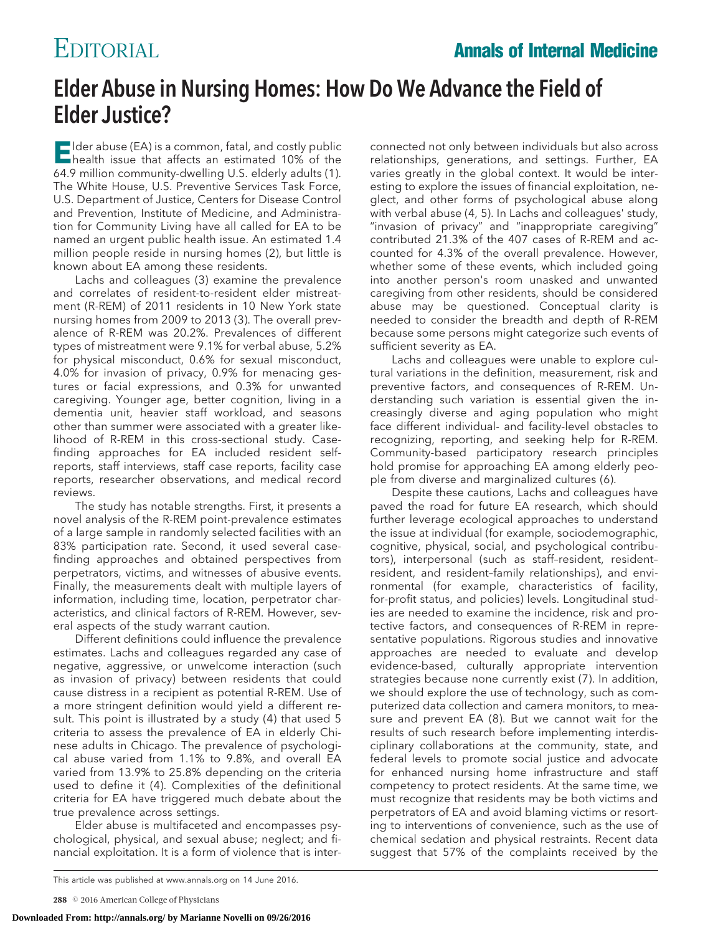## EDITORIAL **Annals of Internal Medicine**

## Elder Abuse in Nursing Homes: How Do We Advance the Field of Elder Justice?

**E**lder abuse (EA) is a common, fatal, and costly public<br>health issue that affects an estimated 10% of the 64.9 million community-dwelling U.S. elderly adults (1). The White House, U.S. Preventive Services Task Force, U.S. Department of Justice, Centers for Disease Control and Prevention, Institute of Medicine, and Administration for Community Living have all called for EA to be named an urgent public health issue. An estimated 1.4 million people reside in nursing homes (2), but little is known about EA among these residents.

Lachs and colleagues (3) examine the prevalence and correlates of resident-to-resident elder mistreatment (R-REM) of 2011 residents in 10 New York state nursing homes from 2009 to 2013 (3). The overall prevalence of R-REM was 20.2%. Prevalences of different types of mistreatment were 9.1% for verbal abuse, 5.2% for physical misconduct, 0.6% for sexual misconduct, 4.0% for invasion of privacy, 0.9% for menacing gestures or facial expressions, and 0.3% for unwanted caregiving. Younger age, better cognition, living in a dementia unit, heavier staff workload, and seasons other than summer were associated with a greater likelihood of R-REM in this cross-sectional study. Casefinding approaches for EA included resident selfreports, staff interviews, staff case reports, facility case reports, researcher observations, and medical record reviews.

The study has notable strengths. First, it presents a novel analysis of the R-REM point-prevalence estimates of a large sample in randomly selected facilities with an 83% participation rate. Second, it used several casefinding approaches and obtained perspectives from perpetrators, victims, and witnesses of abusive events. Finally, the measurements dealt with multiple layers of information, including time, location, perpetrator characteristics, and clinical factors of R-REM. However, several aspects of the study warrant caution.

Different definitions could influence the prevalence estimates. Lachs and colleagues regarded any case of negative, aggressive, or unwelcome interaction (such as invasion of privacy) between residents that could cause distress in a recipient as potential R-REM. Use of a more stringent definition would yield a different result. This point is illustrated by a study (4) that used 5 criteria to assess the prevalence of EA in elderly Chinese adults in Chicago. The prevalence of psychological abuse varied from 1.1% to 9.8%, and overall EA varied from 13.9% to 25.8% depending on the criteria used to define it (4). Complexities of the definitional criteria for EA have triggered much debate about the true prevalence across settings.

Elder abuse is multifaceted and encompasses psychological, physical, and sexual abuse; neglect; and financial exploitation. It is a form of violence that is inter-

This article was published at [www.annals.org](http://www.annals.org) on 14 June 2016.

**Downloaded From: http://annals.org/ by Marianne Novelli on 09/26/2016**

connected not only between individuals but also across relationships, generations, and settings. Further, EA varies greatly in the global context. It would be interesting to explore the issues of financial exploitation, neglect, and other forms of psychological abuse along with verbal abuse (4, 5). In Lachs and colleagues' study, "invasion of privacy" and "inappropriate caregiving" contributed 21.3% of the 407 cases of R-REM and accounted for 4.3% of the overall prevalence. However, whether some of these events, which included going into another person's room unasked and unwanted caregiving from other residents, should be considered abuse may be questioned. Conceptual clarity is needed to consider the breadth and depth of R-REM because some persons might categorize such events of sufficient severity as EA.

Lachs and colleagues were unable to explore cultural variations in the definition, measurement, risk and preventive factors, and consequences of R-REM. Understanding such variation is essential given the increasingly diverse and aging population who might face different individual- and facility-level obstacles to recognizing, reporting, and seeking help for R-REM. Community-based participatory research principles hold promise for approaching EA among elderly people from diverse and marginalized cultures (6).

Despite these cautions, Lachs and colleagues have paved the road for future EA research, which should further leverage ecological approaches to understand the issue at individual (for example, sociodemographic, cognitive, physical, social, and psychological contributors), interpersonal (such as staff–resident, resident– resident, and resident–family relationships), and environmental (for example, characteristics of facility, for-profit status, and policies) levels. Longitudinal studies are needed to examine the incidence, risk and protective factors, and consequences of R-REM in representative populations. Rigorous studies and innovative approaches are needed to evaluate and develop evidence-based, culturally appropriate intervention strategies because none currently exist (7). In addition, we should explore the use of technology, such as computerized data collection and camera monitors, to measure and prevent EA (8). But we cannot wait for the results of such research before implementing interdisciplinary collaborations at the community, state, and federal levels to promote social justice and advocate for enhanced nursing home infrastructure and staff competency to protect residents. At the same time, we must recognize that residents may be both victims and perpetrators of EA and avoid blaming victims or resorting to interventions of convenience, such as the use of chemical sedation and physical restraints. Recent data suggest that 57% of the complaints received by the